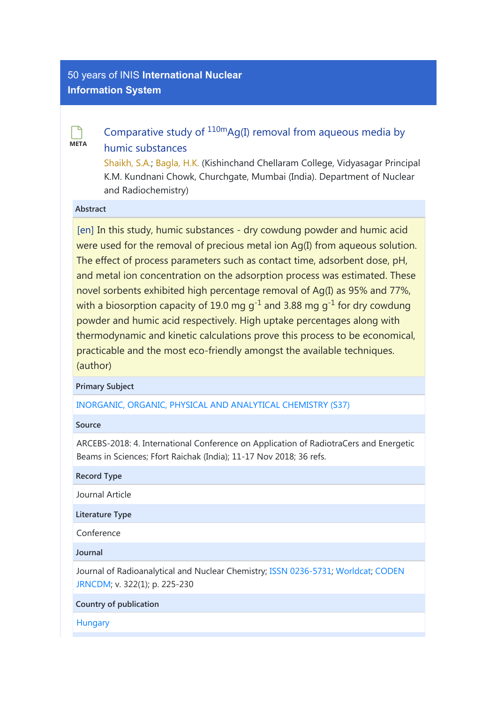## [50 years of INIS](http://inis.iaea.org/search) International Nuclear Information System



# [Comparative study of](https://inis.iaea.org/search/searchsinglerecord.aspx?recordsFor=SingleRecord&RN=50077113)  $110mAg(I)$  removal from aqueous media by [humic substances](https://inis.iaea.org/search/searchsinglerecord.aspx?recordsFor=SingleRecord&RN=50077113)

[Shaikh, S.A.;](https://inis.iaea.org/search/search.aspx?orig_q=author:%22Shaikh,%20S.A.%22) [Bagla, H.K.](https://inis.iaea.org/search/search.aspx?orig_q=author:%22Bagla,%20H.K.%22) (Kishinchand Chellaram College, Vidyasagar Principal K.M. Kundnani Chowk, Churchgate, Mumbai (India). Department of Nuclear and Radiochemistry)

### Abstract

[en] In this study, humic substances - dry cowdung powder and humic acid were used for the removal of precious metal ion Ag(I) from aqueous solution. The effect of process parameters such as contact time, adsorbent dose, pH, and metal ion concentration on the adsorption process was estimated. These novel sorbents exhibited high percentage removal of Ag(I) as 95% and 77%, with a biosorption capacity of 19.0 mg g<sup>-1</sup> and 3.88 mg g<sup>-1</sup> for dry cowdung powder and humic acid respectively. High uptake percentages along with thermodynamic and kinetic calculations prove this process to be economical, practicable and the most eco-friendly amongst the available techniques. (author)

### Primary Subject

[INORGANIC, ORGANIC, PHYSICAL AND ANALYTICAL CHEMISTRY \(S37\)](https://inis.iaea.org/search/search.aspx?orig_q=primarysubject:%22INORGANIC,%20ORGANIC,%20PHYSICAL%20AND%20ANALYTICAL%20CHEMISTRY%20(S37)%22)

### Source

ARCEBS-2018: 4. International Conference on Application of RadiotraCers and Energetic Beams in Sciences; Ffort Raichak (India); 11-17 Nov 2018; 36 refs.

Record Type

Journal Article

Literature Type

Conference

Journal

Journal of Radioanalytical and Nuclear Chemistry; [ISSN 0236-5731;](https://inis.iaea.org/search/search.aspx?orig_q=journal:%22ISSN%200236-5731%22) [Worldcat](http://www.worldcat.org/search?q=n2:0236-5731); [CODEN](https://inis.iaea.org/search/search.aspx?orig_q=journal:%22CODEN%20JRNCDM%22) [JRNCDM;](https://inis.iaea.org/search/search.aspx?orig_q=journal:%22CODEN%20JRNCDM%22) v. 322(1); p. 225-230

Country of publication

**[Hungary](https://inis.iaea.org/search/search.aspx?orig_q=country:%22Hungary%22)**